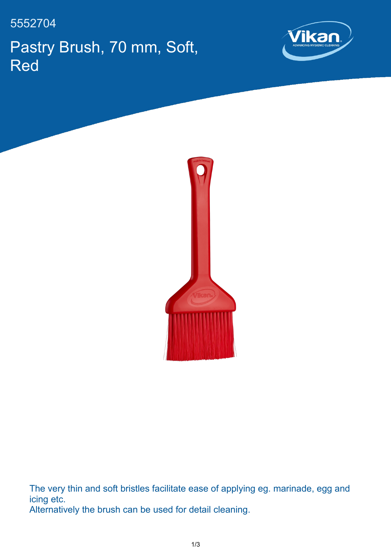## 5552704 Pastry Brush, 70 mm, Soft, Red





The very thin and soft bristles facilitate ease of applying eg. marinade, egg and icing etc. Alternatively the brush can be used for detail cleaning.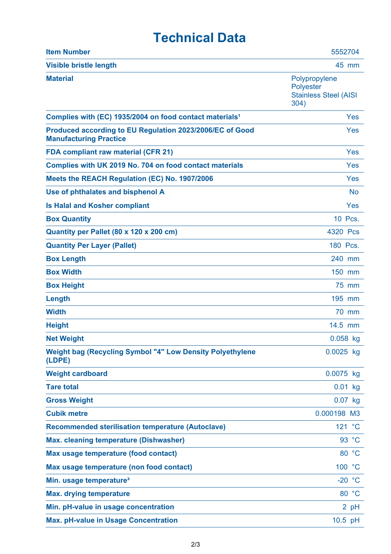## **Technical Data**

| <b>Item Number</b>                                                                        | 5552704                                                            |
|-------------------------------------------------------------------------------------------|--------------------------------------------------------------------|
| <b>Visible bristle length</b>                                                             | 45 mm                                                              |
| <b>Material</b>                                                                           | Polypropylene<br>Polyester<br><b>Stainless Steel (AISI</b><br>304) |
| Complies with (EC) 1935/2004 on food contact materials <sup>1</sup>                       | <b>Yes</b>                                                         |
| Produced according to EU Regulation 2023/2006/EC of Good<br><b>Manufacturing Practice</b> | <b>Yes</b>                                                         |
| <b>FDA compliant raw material (CFR 21)</b>                                                | Yes                                                                |
| Complies with UK 2019 No. 704 on food contact materials                                   | Yes                                                                |
| Meets the REACH Regulation (EC) No. 1907/2006                                             | Yes                                                                |
| Use of phthalates and bisphenol A                                                         | <b>No</b>                                                          |
| <b>Is Halal and Kosher compliant</b>                                                      | Yes                                                                |
| <b>Box Quantity</b>                                                                       | 10 Pcs.                                                            |
| Quantity per Pallet (80 x 120 x 200 cm)                                                   | 4320 Pcs                                                           |
| <b>Quantity Per Layer (Pallet)</b>                                                        | 180 Pcs.                                                           |
| <b>Box Length</b>                                                                         | 240 mm                                                             |
| <b>Box Width</b>                                                                          | 150 mm                                                             |
| <b>Box Height</b>                                                                         | 75 mm                                                              |
| Length                                                                                    | 195 mm                                                             |
| <b>Width</b>                                                                              | <b>70 mm</b>                                                       |
| <b>Height</b>                                                                             | 14.5 mm                                                            |
| <b>Net Weight</b>                                                                         | $0.058$ kg                                                         |
| <b>Weight bag (Recycling Symbol "4" Low Density Polyethylene</b><br>(LDPE)                | $0.0025$ kg                                                        |
| <b>Weight cardboard</b>                                                                   | 0.0075 kg                                                          |
| <b>Tare total</b>                                                                         | $0.01$ kg                                                          |
| <b>Gross Weight</b>                                                                       | $0.07$ kg                                                          |
| <b>Cubik metre</b>                                                                        | 0.000198 M3                                                        |
| <b>Recommended sterilisation temperature (Autoclave)</b>                                  | 121 °C                                                             |
| <b>Max. cleaning temperature (Dishwasher)</b>                                             | 93 °C                                                              |
| Max usage temperature (food contact)                                                      | 80 °C                                                              |
| Max usage temperature (non food contact)                                                  | 100 °C                                                             |
| Min. usage temperature <sup>3</sup>                                                       | $-20 °C$                                                           |
| <b>Max. drying temperature</b>                                                            | 80 °C                                                              |
| Min. pH-value in usage concentration                                                      | 2 pH                                                               |
| <b>Max. pH-value in Usage Concentration</b>                                               | 10.5 pH                                                            |